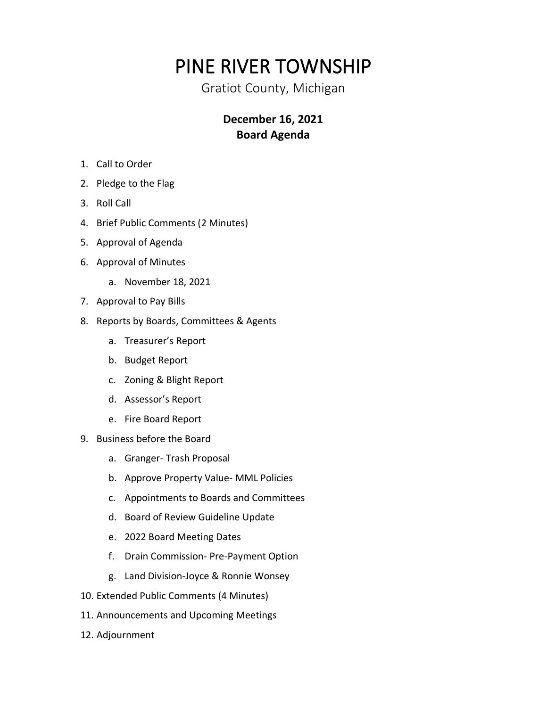## PINE RIVER TOWNSHIP

Gratiot County, Michigan

## **December 16, 2021 Board Agenda**

- 1. Call to Order
- 2. Pledge to the Flag
- 3. Roll Call
- 4. Brief Public Comments (2 Minutes)
- 5. Approval of Agenda
- 6. Approval of Minutes
	- a. November 18, 2021
- 7. Approval to Pay Bills
- 8. Reports by Boards, Committees & Agents
	- a. Treasurer's Report
	- b. Budget Report
	- c. Zoning & Blight Report
	- d. Assessor's Report
	- e. Fire Board Report
- 9. Business before the Board
	- a. Granger- Trash Proposal
	- b. Approve Property Value- MML Policies
	- c. Appointments to Boards and Committees
	- d. Board of Review Guideline Update
	- e. 2022 Board Meeting Dates
	- f. Drain Commission- Pre-Payment Option
	- g. Land Division-Joyce & Ronnie Wonsey
- 10. Extended Public Comments (4 Minutes)
- 11. Announcements and Upcoming Meetings
- 12. Adjournment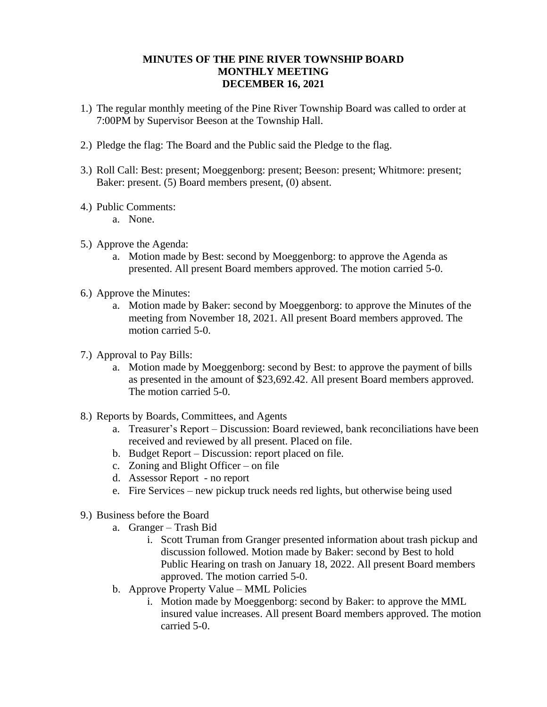## **MINUTES OF THE PINE RIVER TOWNSHIP BOARD MONTHLY MEETING DECEMBER 16, 2021**

- 1.) The regular monthly meeting of the Pine River Township Board was called to order at 7:00PM by Supervisor Beeson at the Township Hall.
- 2.) Pledge the flag: The Board and the Public said the Pledge to the flag.
- 3.) Roll Call: Best: present; Moeggenborg: present; Beeson: present; Whitmore: present; Baker: present. (5) Board members present, (0) absent.
- 4.) Public Comments:
	- a. None.
- 5.) Approve the Agenda:
	- a. Motion made by Best: second by Moeggenborg: to approve the Agenda as presented. All present Board members approved. The motion carried 5-0.
- 6.) Approve the Minutes:
	- a. Motion made by Baker: second by Moeggenborg: to approve the Minutes of the meeting from November 18, 2021. All present Board members approved. The motion carried 5-0.
- 7.) Approval to Pay Bills:
	- a. Motion made by Moeggenborg: second by Best: to approve the payment of bills as presented in the amount of \$23,692.42. All present Board members approved. The motion carried 5-0.
- 8.) Reports by Boards, Committees, and Agents
	- a. Treasurer's Report Discussion: Board reviewed, bank reconciliations have been received and reviewed by all present. Placed on file.
	- b. Budget Report Discussion: report placed on file.
	- c. Zoning and Blight Officer on file
	- d. Assessor Report no report
	- e. Fire Services new pickup truck needs red lights, but otherwise being used
- 9.) Business before the Board
	- a. Granger Trash Bid
		- i. Scott Truman from Granger presented information about trash pickup and discussion followed. Motion made by Baker: second by Best to hold Public Hearing on trash on January 18, 2022. All present Board members approved. The motion carried 5-0.
	- b. Approve Property Value MML Policies
		- i. Motion made by Moeggenborg: second by Baker: to approve the MML insured value increases. All present Board members approved. The motion carried 5-0.